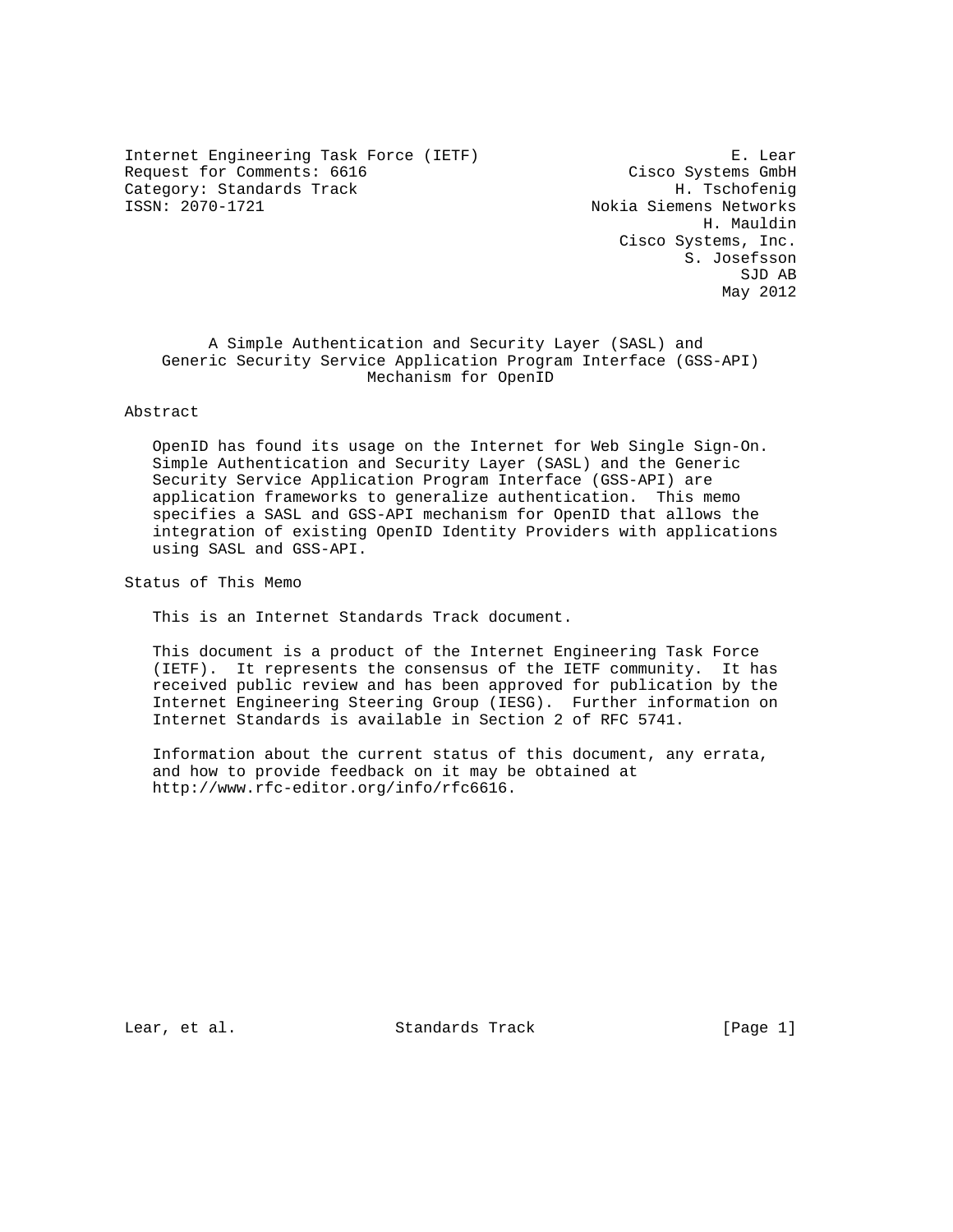Internet Engineering Task Force (IETF) E. Lear Request for Comments: 6616 Cisco Systems GmbH Category: Standards Track H. Tschofenig<br>ISSN: 2070-1721 Mokia Siemens Networks

Nokia Siemens Networks H. Mauldin Cisco Systems, Inc. S. Josefsson SJD AB May 2012

 A Simple Authentication and Security Layer (SASL) and Generic Security Service Application Program Interface (GSS-API) Mechanism for OpenID

Abstract

 OpenID has found its usage on the Internet for Web Single Sign-On. Simple Authentication and Security Layer (SASL) and the Generic Security Service Application Program Interface (GSS-API) are application frameworks to generalize authentication. This memo specifies a SASL and GSS-API mechanism for OpenID that allows the integration of existing OpenID Identity Providers with applications using SASL and GSS-API.

Status of This Memo

This is an Internet Standards Track document.

 This document is a product of the Internet Engineering Task Force (IETF). It represents the consensus of the IETF community. It has received public review and has been approved for publication by the Internet Engineering Steering Group (IESG). Further information on Internet Standards is available in Section 2 of RFC 5741.

 Information about the current status of this document, any errata, and how to provide feedback on it may be obtained at http://www.rfc-editor.org/info/rfc6616.

Lear, et al. Standards Track [Page 1]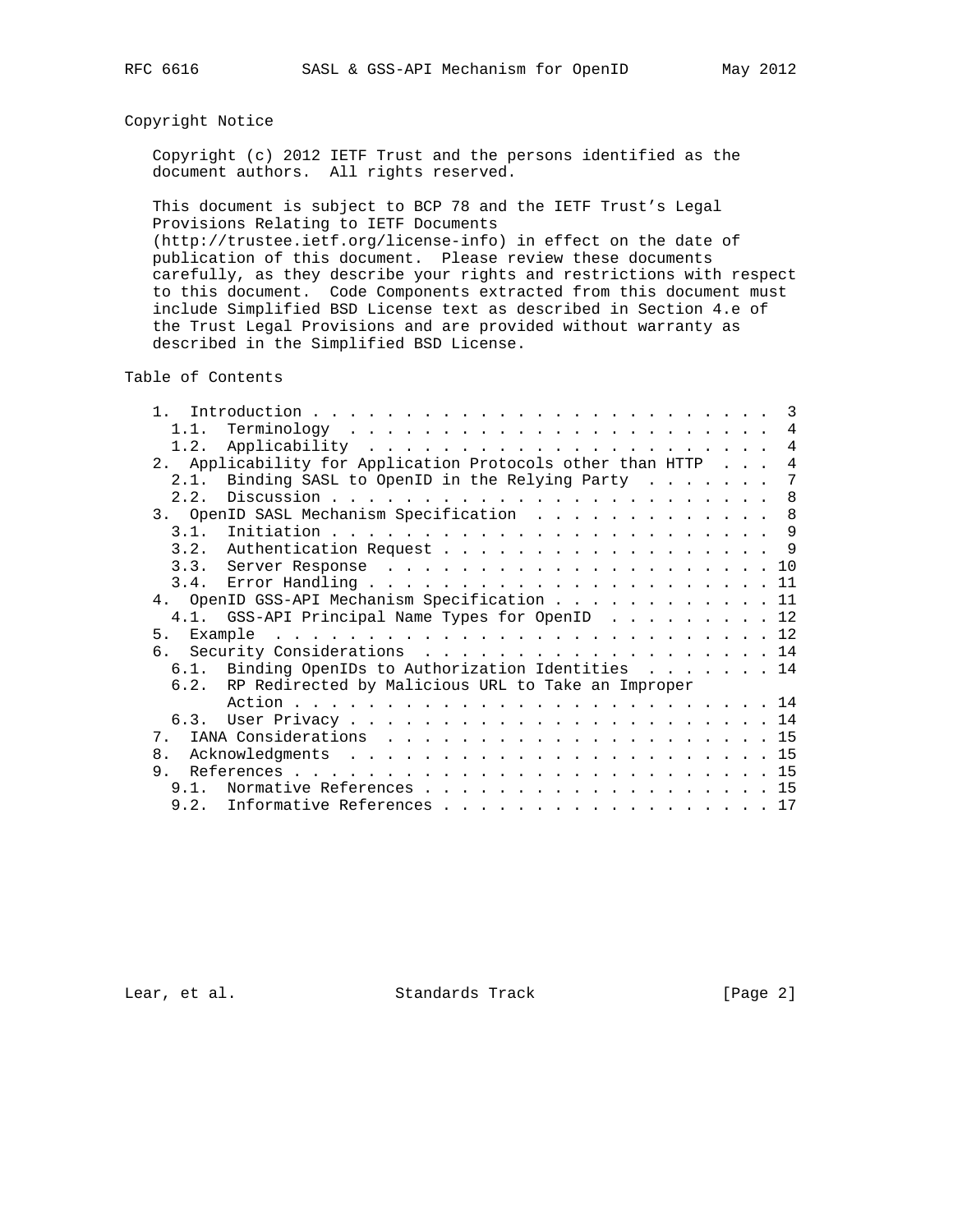# Copyright Notice

 Copyright (c) 2012 IETF Trust and the persons identified as the document authors. All rights reserved.

 This document is subject to BCP 78 and the IETF Trust's Legal Provisions Relating to IETF Documents

 (http://trustee.ietf.org/license-info) in effect on the date of publication of this document. Please review these documents carefully, as they describe your rights and restrictions with respect to this document. Code Components extracted from this document must include Simplified BSD License text as described in Section 4.e of the Trust Legal Provisions and are provided without warranty as described in the Simplified BSD License.

Table of Contents

| $1 \quad$                                               |                                                            |                |  |  |  |  |
|---------------------------------------------------------|------------------------------------------------------------|----------------|--|--|--|--|
| 1.1.                                                    |                                                            | $\overline{4}$ |  |  |  |  |
|                                                         |                                                            | 4              |  |  |  |  |
|                                                         | 2. Applicability for Application Protocols other than HTTP | $\overline{4}$ |  |  |  |  |
| 2.1.                                                    | Binding SASL to OpenID in the Relying Party $\ldots$       | 7              |  |  |  |  |
|                                                         |                                                            |                |  |  |  |  |
| 3. OpenID SASL Mechanism Specification 8                |                                                            |                |  |  |  |  |
|                                                         |                                                            |                |  |  |  |  |
|                                                         | 3.2. Authentication Request 9                              |                |  |  |  |  |
|                                                         |                                                            |                |  |  |  |  |
|                                                         |                                                            |                |  |  |  |  |
|                                                         | 4. OpenID GSS-API Mechanism Specification 11               |                |  |  |  |  |
|                                                         | 4.1. GSS-API Principal Name Types for OpenID 12            |                |  |  |  |  |
|                                                         |                                                            |                |  |  |  |  |
| 6. Security Considerations 14                           |                                                            |                |  |  |  |  |
|                                                         | 6.1. Binding OpenIDs to Authorization Identities 14        |                |  |  |  |  |
| 6.2. RP Redirected by Malicious URL to Take an Improper |                                                            |                |  |  |  |  |
|                                                         |                                                            |                |  |  |  |  |
|                                                         |                                                            |                |  |  |  |  |
| 7.                                                      |                                                            |                |  |  |  |  |
| $\mathsf{R}$                                            |                                                            |                |  |  |  |  |
| 9                                                       |                                                            |                |  |  |  |  |
| 9 1                                                     | Normative References 15                                    |                |  |  |  |  |
|                                                         | 9.2. Informative References 17                             |                |  |  |  |  |

Lear, et al. Standards Track [Page 2]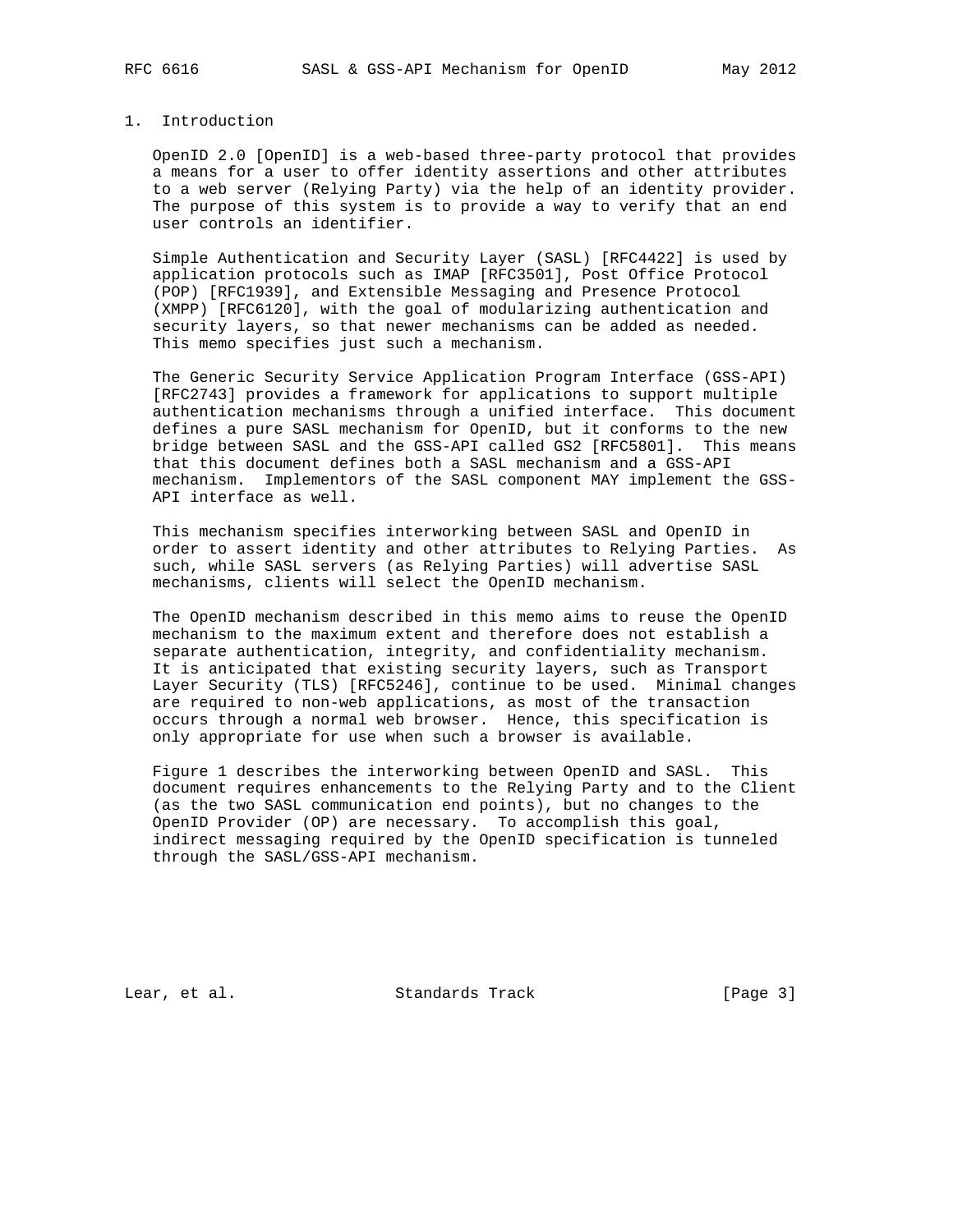## 1. Introduction

 OpenID 2.0 [OpenID] is a web-based three-party protocol that provides a means for a user to offer identity assertions and other attributes to a web server (Relying Party) via the help of an identity provider. The purpose of this system is to provide a way to verify that an end user controls an identifier.

 Simple Authentication and Security Layer (SASL) [RFC4422] is used by application protocols such as IMAP [RFC3501], Post Office Protocol (POP) [RFC1939], and Extensible Messaging and Presence Protocol (XMPP) [RFC6120], with the goal of modularizing authentication and security layers, so that newer mechanisms can be added as needed. This memo specifies just such a mechanism.

 The Generic Security Service Application Program Interface (GSS-API) [RFC2743] provides a framework for applications to support multiple authentication mechanisms through a unified interface. This document defines a pure SASL mechanism for OpenID, but it conforms to the new bridge between SASL and the GSS-API called GS2 [RFC5801]. This means that this document defines both a SASL mechanism and a GSS-API mechanism. Implementors of the SASL component MAY implement the GSS- API interface as well.

 This mechanism specifies interworking between SASL and OpenID in order to assert identity and other attributes to Relying Parties. As such, while SASL servers (as Relying Parties) will advertise SASL mechanisms, clients will select the OpenID mechanism.

 The OpenID mechanism described in this memo aims to reuse the OpenID mechanism to the maximum extent and therefore does not establish a separate authentication, integrity, and confidentiality mechanism. It is anticipated that existing security layers, such as Transport Layer Security (TLS) [RFC5246], continue to be used. Minimal changes are required to non-web applications, as most of the transaction occurs through a normal web browser. Hence, this specification is only appropriate for use when such a browser is available.

 Figure 1 describes the interworking between OpenID and SASL. This document requires enhancements to the Relying Party and to the Client (as the two SASL communication end points), but no changes to the OpenID Provider (OP) are necessary. To accomplish this goal, indirect messaging required by the OpenID specification is tunneled through the SASL/GSS-API mechanism.

Lear, et al. Standards Track [Page 3]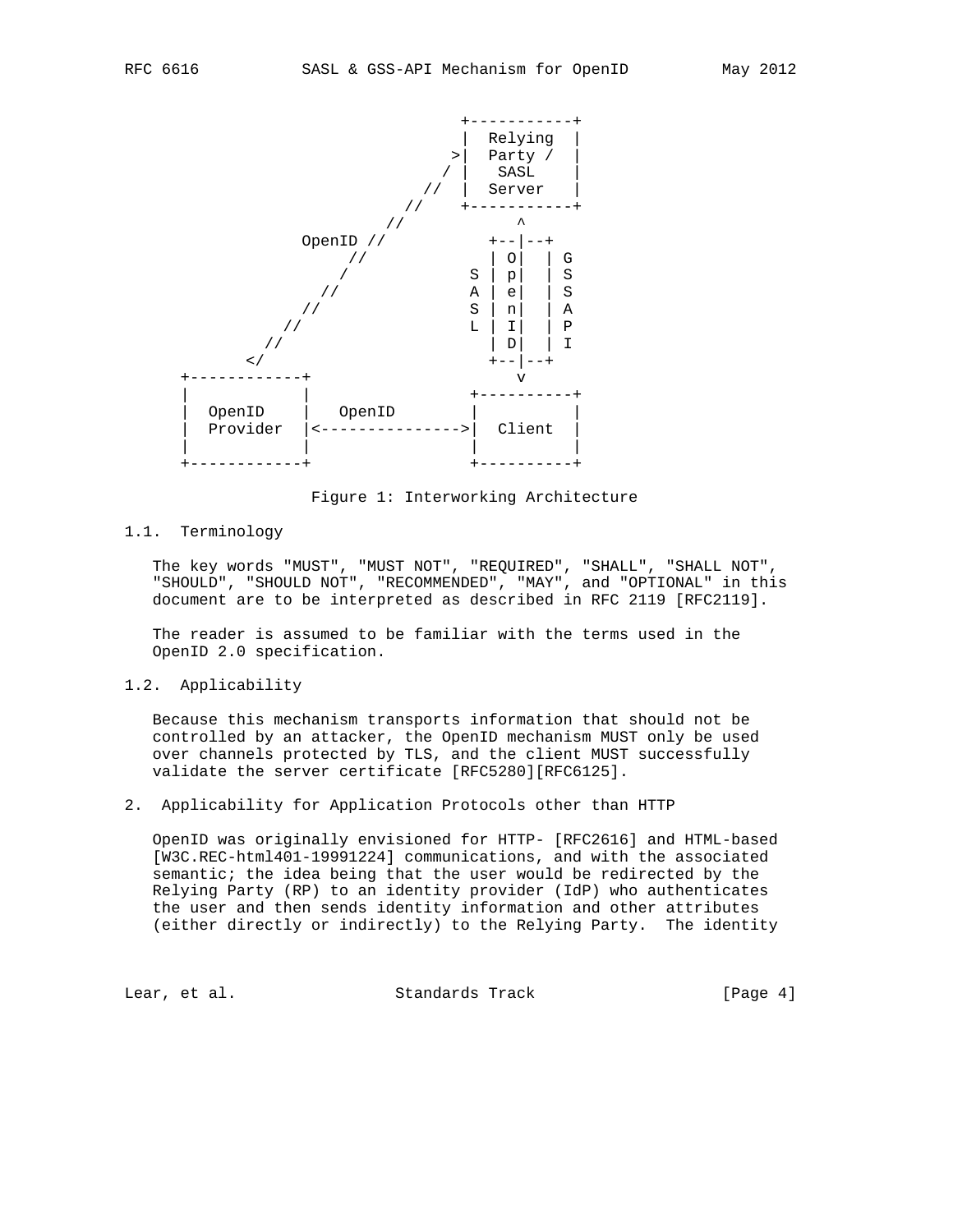

Figure 1: Interworking Architecture

1.1. Terminology

 The key words "MUST", "MUST NOT", "REQUIRED", "SHALL", "SHALL NOT", "SHOULD", "SHOULD NOT", "RECOMMENDED", "MAY", and "OPTIONAL" in this document are to be interpreted as described in RFC 2119 [RFC2119].

 The reader is assumed to be familiar with the terms used in the OpenID 2.0 specification.

1.2. Applicability

 Because this mechanism transports information that should not be controlled by an attacker, the OpenID mechanism MUST only be used over channels protected by TLS, and the client MUST successfully validate the server certificate [RFC5280][RFC6125].

2. Applicability for Application Protocols other than HTTP

 OpenID was originally envisioned for HTTP- [RFC2616] and HTML-based [W3C.REC-html401-19991224] communications, and with the associated semantic; the idea being that the user would be redirected by the Relying Party (RP) to an identity provider (IdP) who authenticates the user and then sends identity information and other attributes (either directly or indirectly) to the Relying Party. The identity

Lear, et al. Standards Track [Page 4]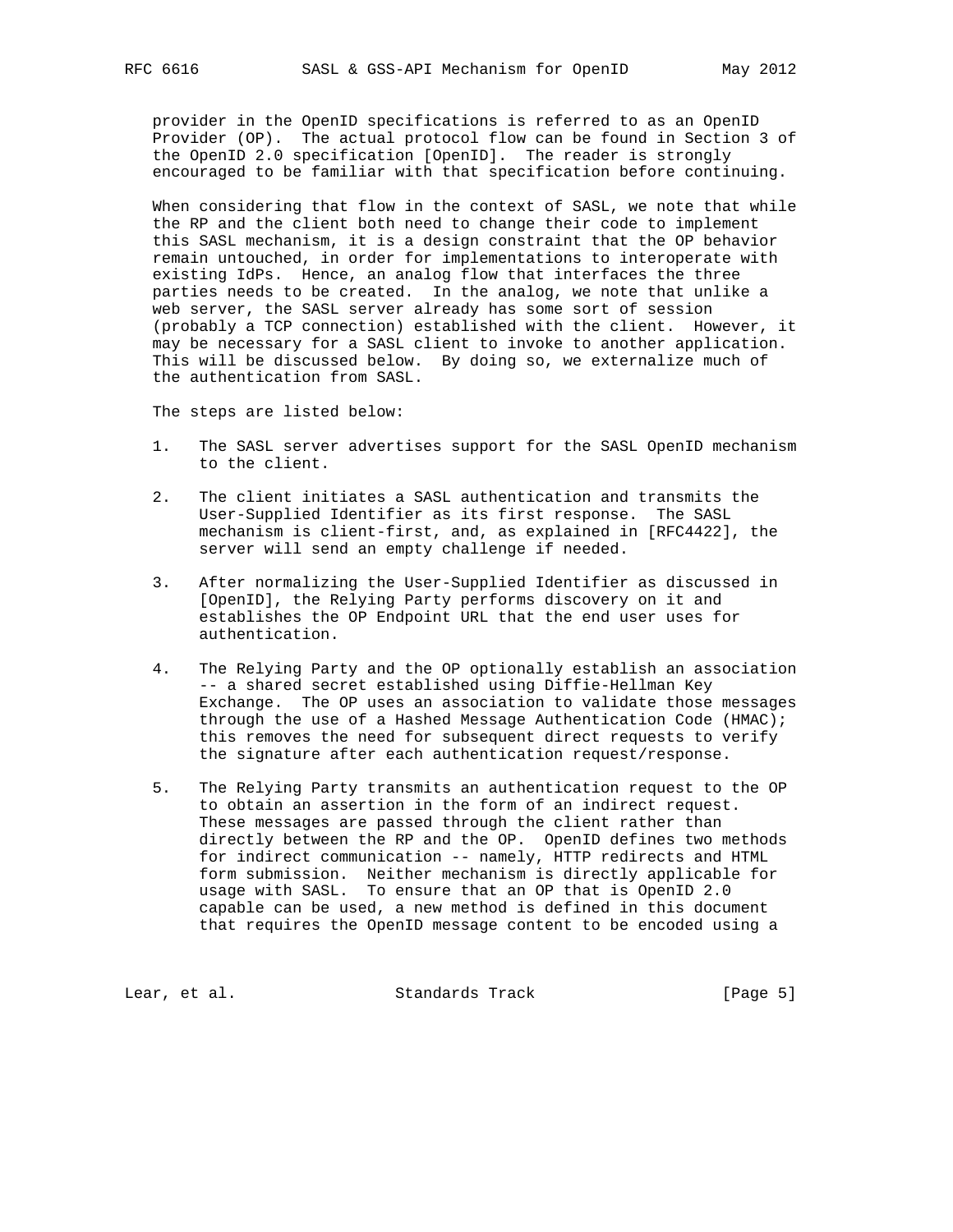provider in the OpenID specifications is referred to as an OpenID Provider (OP). The actual protocol flow can be found in Section 3 of the OpenID 2.0 specification [OpenID]. The reader is strongly encouraged to be familiar with that specification before continuing.

 When considering that flow in the context of SASL, we note that while the RP and the client both need to change their code to implement this SASL mechanism, it is a design constraint that the OP behavior remain untouched, in order for implementations to interoperate with existing IdPs. Hence, an analog flow that interfaces the three parties needs to be created. In the analog, we note that unlike a web server, the SASL server already has some sort of session (probably a TCP connection) established with the client. However, it may be necessary for a SASL client to invoke to another application. This will be discussed below. By doing so, we externalize much of the authentication from SASL.

The steps are listed below:

- 1. The SASL server advertises support for the SASL OpenID mechanism to the client.
- 2. The client initiates a SASL authentication and transmits the User-Supplied Identifier as its first response. The SASL mechanism is client-first, and, as explained in [RFC4422], the server will send an empty challenge if needed.
- 3. After normalizing the User-Supplied Identifier as discussed in [OpenID], the Relying Party performs discovery on it and establishes the OP Endpoint URL that the end user uses for authentication.
- 4. The Relying Party and the OP optionally establish an association -- a shared secret established using Diffie-Hellman Key Exchange. The OP uses an association to validate those messages through the use of a Hashed Message Authentication Code (HMAC); this removes the need for subsequent direct requests to verify the signature after each authentication request/response.
- 5. The Relying Party transmits an authentication request to the OP to obtain an assertion in the form of an indirect request. These messages are passed through the client rather than directly between the RP and the OP. OpenID defines two methods for indirect communication -- namely, HTTP redirects and HTML form submission. Neither mechanism is directly applicable for usage with SASL. To ensure that an OP that is OpenID 2.0 capable can be used, a new method is defined in this document that requires the OpenID message content to be encoded using a

Lear, et al. Standards Track [Page 5]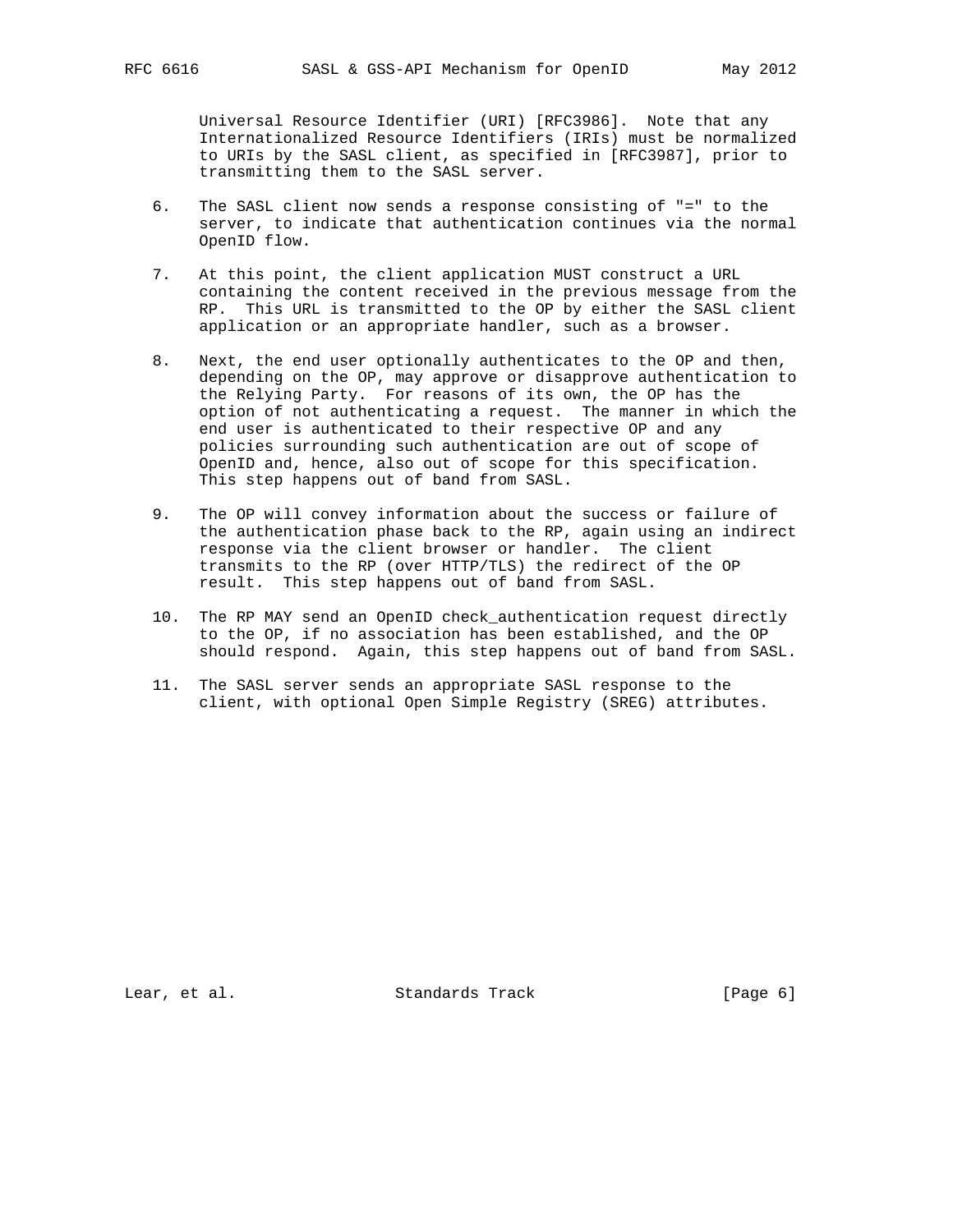Universal Resource Identifier (URI) [RFC3986]. Note that any Internationalized Resource Identifiers (IRIs) must be normalized to URIs by the SASL client, as specified in [RFC3987], prior to transmitting them to the SASL server.

- 6. The SASL client now sends a response consisting of "=" to the server, to indicate that authentication continues via the normal OpenID flow.
- 7. At this point, the client application MUST construct a URL containing the content received in the previous message from the RP. This URL is transmitted to the OP by either the SASL client application or an appropriate handler, such as a browser.
- 8. Next, the end user optionally authenticates to the OP and then, depending on the OP, may approve or disapprove authentication to the Relying Party. For reasons of its own, the OP has the option of not authenticating a request. The manner in which the end user is authenticated to their respective OP and any policies surrounding such authentication are out of scope of OpenID and, hence, also out of scope for this specification. This step happens out of band from SASL.
- 9. The OP will convey information about the success or failure of the authentication phase back to the RP, again using an indirect response via the client browser or handler. The client transmits to the RP (over HTTP/TLS) the redirect of the OP result. This step happens out of band from SASL.
- 10. The RP MAY send an OpenID check\_authentication request directly to the OP, if no association has been established, and the OP should respond. Again, this step happens out of band from SASL.
- 11. The SASL server sends an appropriate SASL response to the client, with optional Open Simple Registry (SREG) attributes.

Lear, et al. Standards Track [Page 6]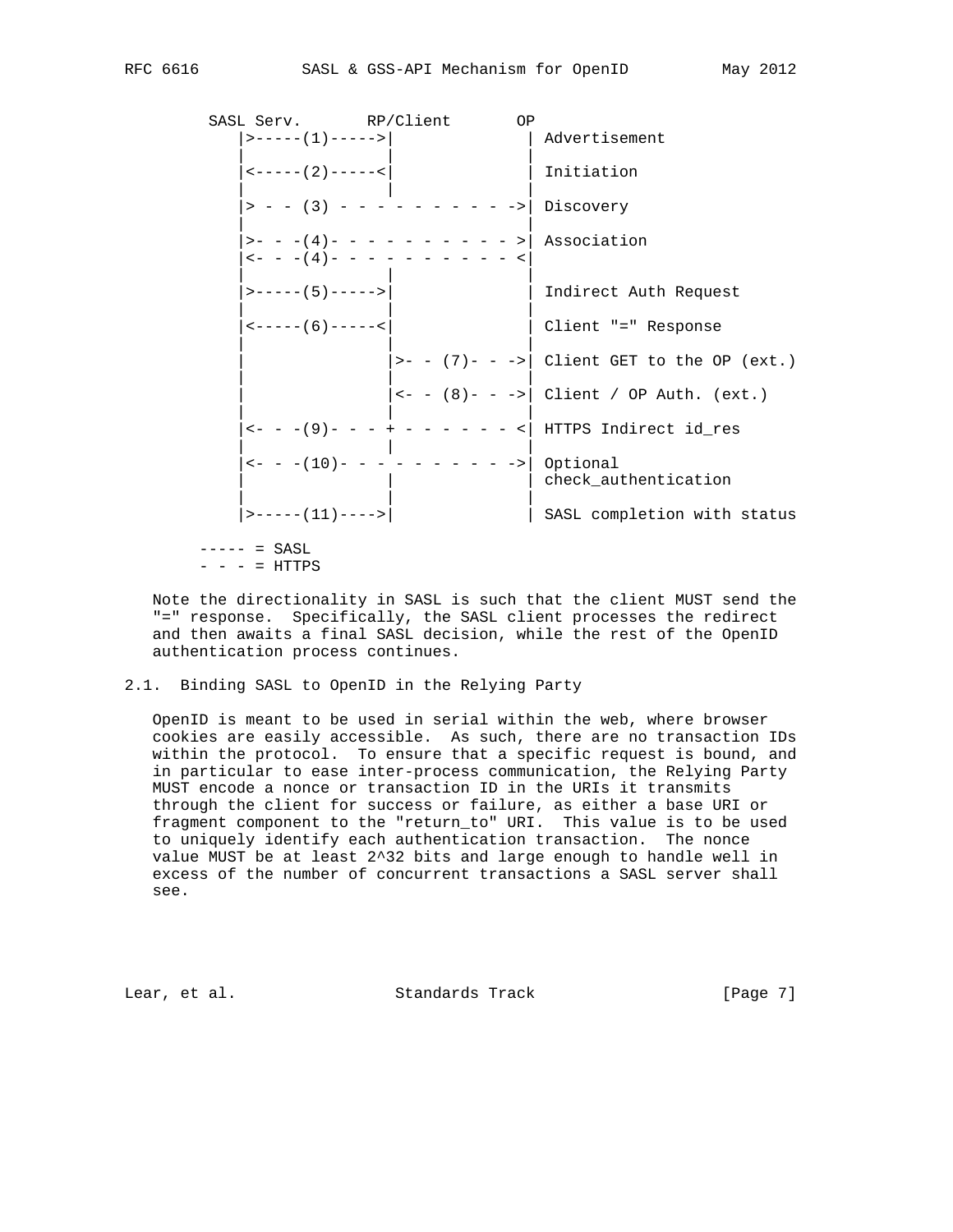SASL Serv. RP/Client OP |>-----(1)----->| | Advertisement | | | | <-----(2)-----<| | Initiation | | | |> - - (3) - - - - - - - - - ->| Discovery | | |>- - -(4)- - - - - - - - - - >| Association  $|---(4)$ - - - - - - - - - - -  $|$  | | | |>-----(5)----->| | Indirect Auth Request | | | |<-----(6)-----<| | Client "=" Response | | |  $\vert$ >- - (7)- - -> $\vert$  Client GET to the OP (ext.) | | | | |<- - (8)- - ->| Client / OP Auth. (ext.) | | | |<- - -(9)- - - + - - - - - - <| HTTPS Indirect id\_res | | | |<- - -(10)- - - - - - - - - ->| Optional | | | check\_authentication | | | |>-----(11)---->| | SASL completion with status  $--- - = SASL$ 

 $- - - = HTTPS$ 

 Note the directionality in SASL is such that the client MUST send the "=" response. Specifically, the SASL client processes the redirect and then awaits a final SASL decision, while the rest of the OpenID authentication process continues.

2.1. Binding SASL to OpenID in the Relying Party

 OpenID is meant to be used in serial within the web, where browser cookies are easily accessible. As such, there are no transaction IDs within the protocol. To ensure that a specific request is bound, and in particular to ease inter-process communication, the Relying Party MUST encode a nonce or transaction ID in the URIs it transmits through the client for success or failure, as either a base URI or fragment component to the "return\_to" URI. This value is to be used to uniquely identify each authentication transaction. The nonce value MUST be at least 2^32 bits and large enough to handle well in excess of the number of concurrent transactions a SASL server shall see.

Lear, et al. Standards Track [Page 7]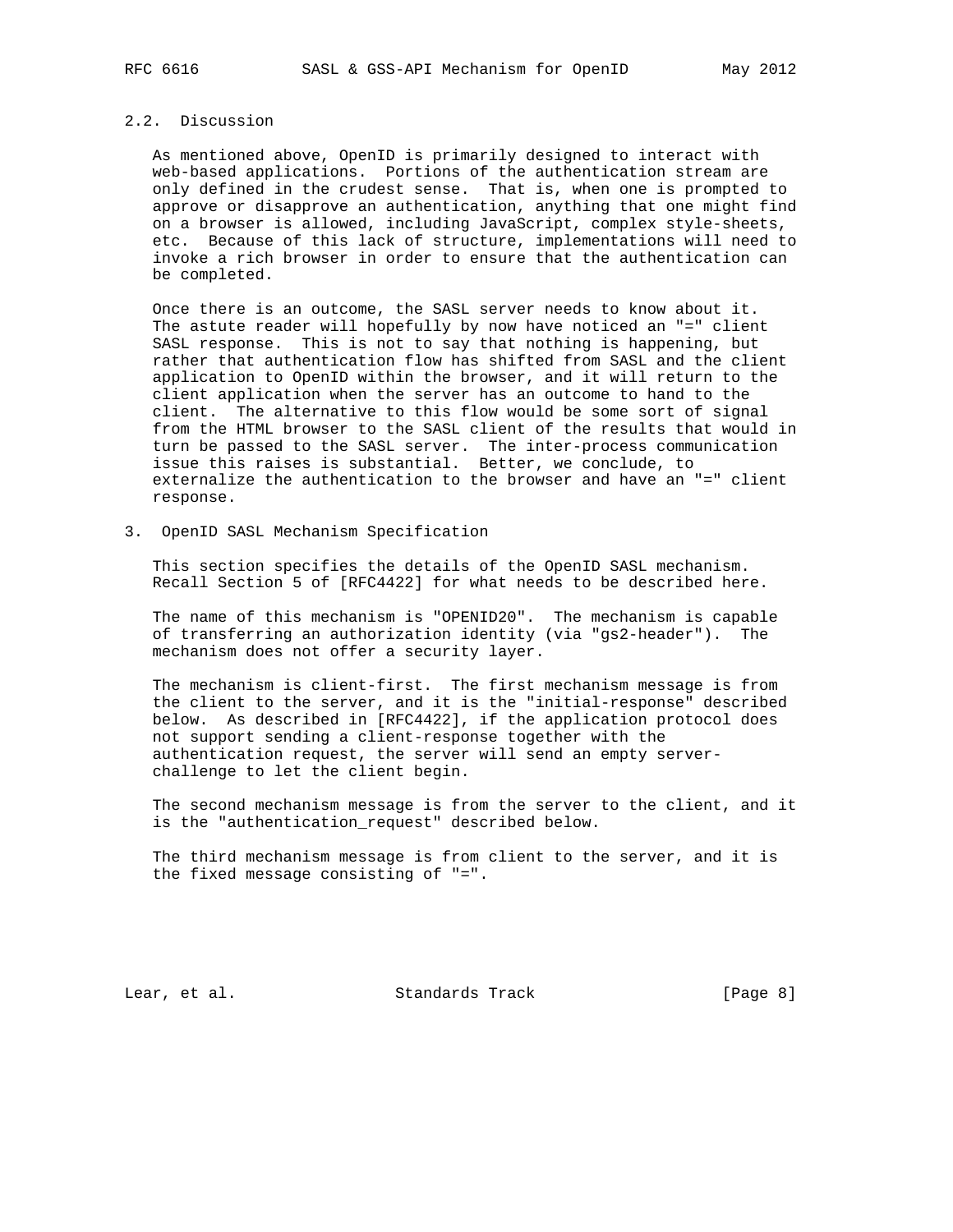# 2.2. Discussion

 As mentioned above, OpenID is primarily designed to interact with web-based applications. Portions of the authentication stream are only defined in the crudest sense. That is, when one is prompted to approve or disapprove an authentication, anything that one might find on a browser is allowed, including JavaScript, complex style-sheets, etc. Because of this lack of structure, implementations will need to invoke a rich browser in order to ensure that the authentication can be completed.

 Once there is an outcome, the SASL server needs to know about it. The astute reader will hopefully by now have noticed an "=" client SASL response. This is not to say that nothing is happening, but rather that authentication flow has shifted from SASL and the client application to OpenID within the browser, and it will return to the client application when the server has an outcome to hand to the client. The alternative to this flow would be some sort of signal from the HTML browser to the SASL client of the results that would in turn be passed to the SASL server. The inter-process communication issue this raises is substantial. Better, we conclude, to externalize the authentication to the browser and have an "=" client response.

3. OpenID SASL Mechanism Specification

 This section specifies the details of the OpenID SASL mechanism. Recall Section 5 of [RFC4422] for what needs to be described here.

 The name of this mechanism is "OPENID20". The mechanism is capable of transferring an authorization identity (via "gs2-header"). The mechanism does not offer a security layer.

 The mechanism is client-first. The first mechanism message is from the client to the server, and it is the "initial-response" described below. As described in [RFC4422], if the application protocol does not support sending a client-response together with the authentication request, the server will send an empty server challenge to let the client begin.

 The second mechanism message is from the server to the client, and it is the "authentication\_request" described below.

 The third mechanism message is from client to the server, and it is the fixed message consisting of "=".

Lear, et al. Standards Track [Page 8]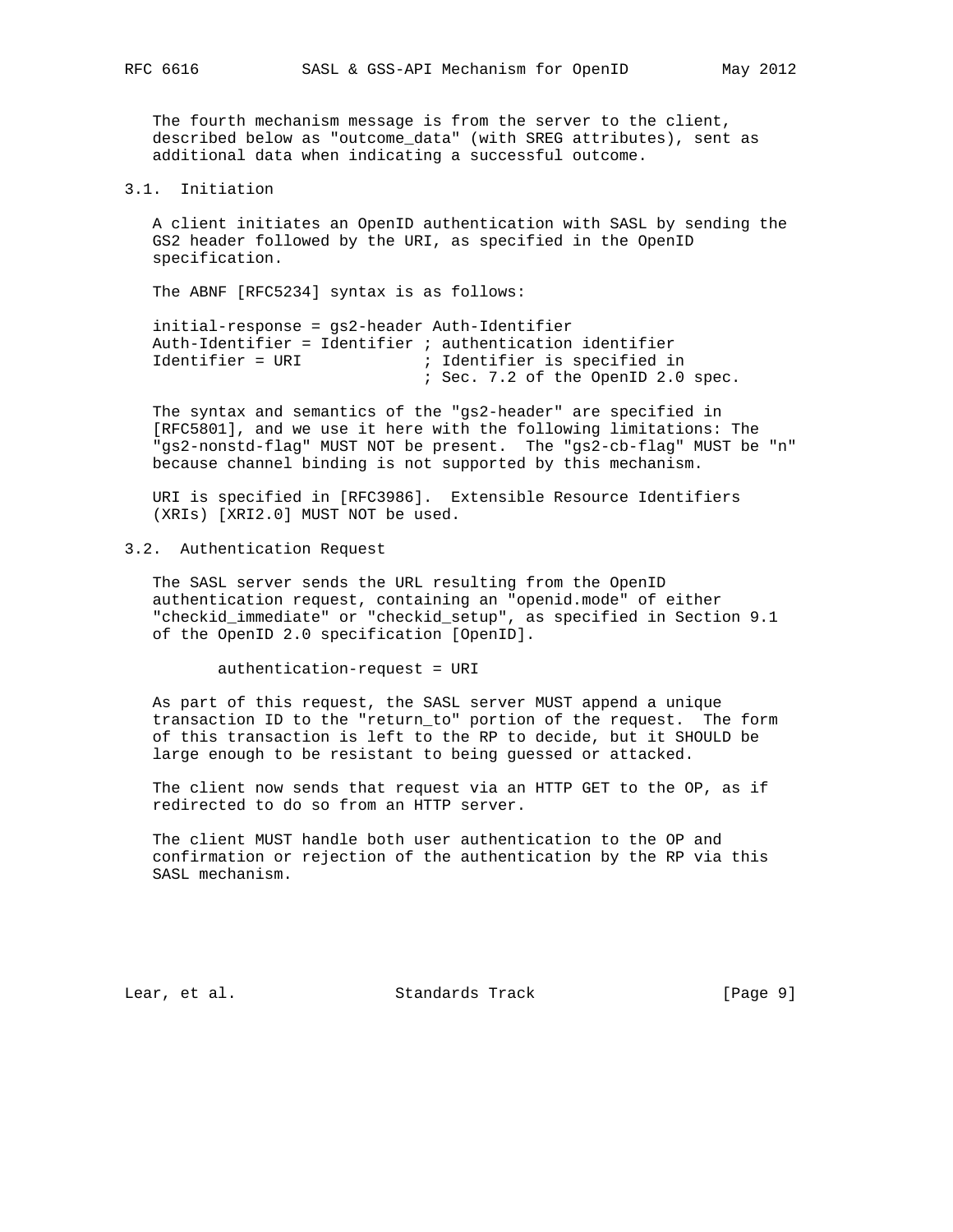The fourth mechanism message is from the server to the client, described below as "outcome\_data" (with SREG attributes), sent as additional data when indicating a successful outcome.

### 3.1. Initiation

 A client initiates an OpenID authentication with SASL by sending the GS2 header followed by the URI, as specified in the OpenID specification.

The ABNF [RFC5234] syntax is as follows:

 initial-response = gs2-header Auth-Identifier Auth-Identifier = Identifier ; authentication identifier Identifier = URI ; Identifier is specified in ; Sec. 7.2 of the OpenID 2.0 spec.

 The syntax and semantics of the "gs2-header" are specified in [RFC5801], and we use it here with the following limitations: The "gs2-nonstd-flag" MUST NOT be present. The "gs2-cb-flag" MUST be "n" because channel binding is not supported by this mechanism.

 URI is specified in [RFC3986]. Extensible Resource Identifiers (XRIs) [XRI2.0] MUST NOT be used.

3.2. Authentication Request

 The SASL server sends the URL resulting from the OpenID authentication request, containing an "openid.mode" of either "checkid\_immediate" or "checkid\_setup", as specified in Section 9.1 of the OpenID 2.0 specification [OpenID].

authentication-request = URI

 As part of this request, the SASL server MUST append a unique transaction ID to the "return\_to" portion of the request. The form of this transaction is left to the RP to decide, but it SHOULD be large enough to be resistant to being guessed or attacked.

 The client now sends that request via an HTTP GET to the OP, as if redirected to do so from an HTTP server.

 The client MUST handle both user authentication to the OP and confirmation or rejection of the authentication by the RP via this SASL mechanism.

Lear, et al. Standards Track [Page 9]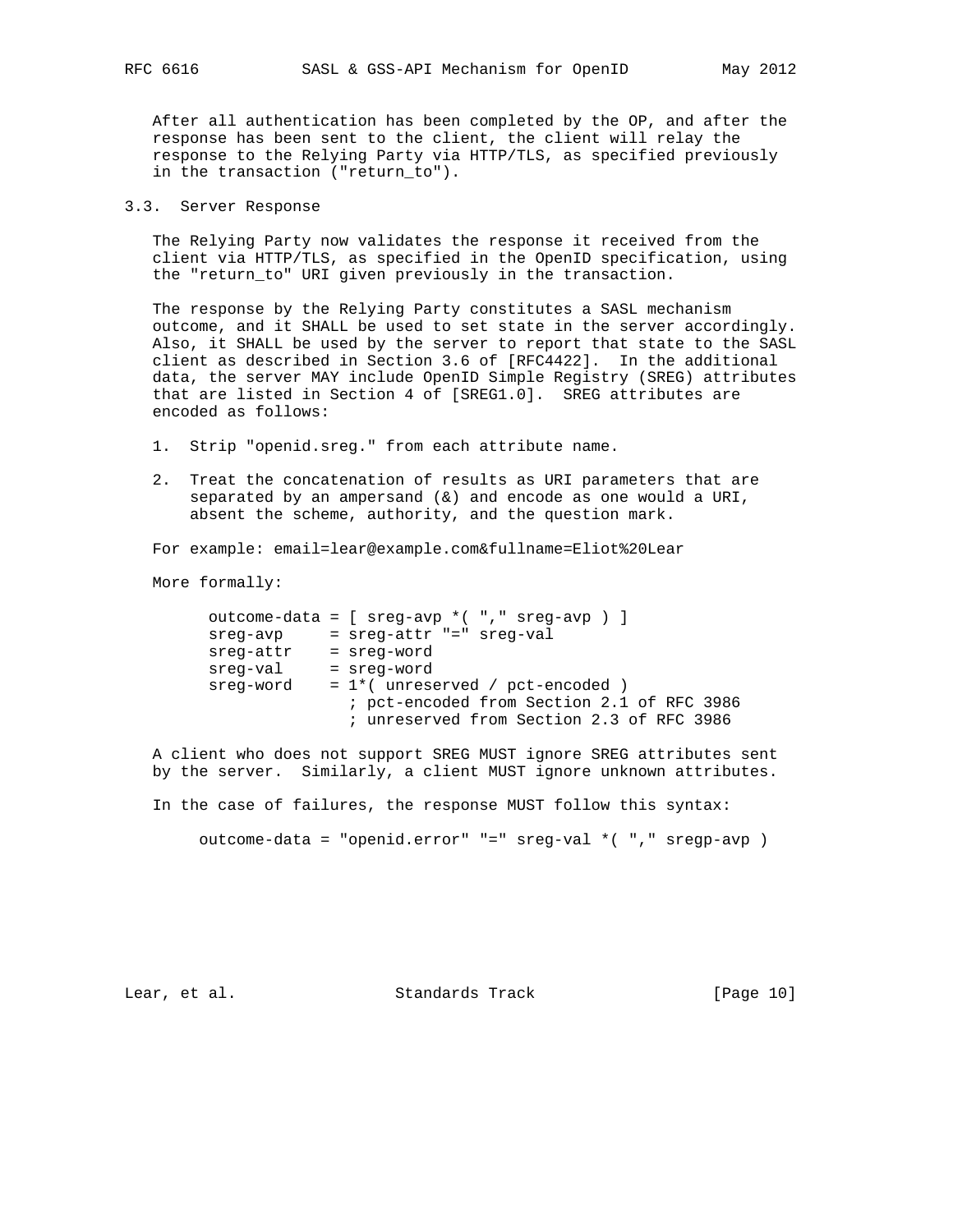After all authentication has been completed by the OP, and after the response has been sent to the client, the client will relay the response to the Relying Party via HTTP/TLS, as specified previously in the transaction ("return\_to").

### 3.3. Server Response

 The Relying Party now validates the response it received from the client via HTTP/TLS, as specified in the OpenID specification, using the "return\_to" URI given previously in the transaction.

 The response by the Relying Party constitutes a SASL mechanism outcome, and it SHALL be used to set state in the server accordingly. Also, it SHALL be used by the server to report that state to the SASL client as described in Section 3.6 of [RFC4422]. In the additional data, the server MAY include OpenID Simple Registry (SREG) attributes that are listed in Section 4 of [SREG1.0]. SREG attributes are encoded as follows:

- 1. Strip "openid.sreg." from each attribute name.
- 2. Treat the concatenation of results as URI parameters that are separated by an ampersand  $(\&)$  and encode as one would a URI, absent the scheme, authority, and the question mark.

For example: email=lear@example.com&fullname=Eliot%20Lear

More formally:

|           | outcome-data = $[$ sreq-avp * $($ "," sreq-avp $)$ ] |
|-----------|------------------------------------------------------|
| sreg-avp  | = sreg-attr "=" sreg-val                             |
| sreg-attr | = sreg-word                                          |
| sreg-val  | = sreg-word                                          |
| sreg-word | $= 1$ *(unreserved / pct-encoded )                   |
|           | ; pct-encoded from Section 2.1 of RFC 3986           |
|           | ; unreserved from Section 2.3 of RFC 3986            |
|           |                                                      |

 A client who does not support SREG MUST ignore SREG attributes sent by the server. Similarly, a client MUST ignore unknown attributes.

In the case of failures, the response MUST follow this syntax:

outcome-data = "openid.error" "=" sreg-val \*( "," sregp-avp )

Lear, et al. Standards Track [Page 10]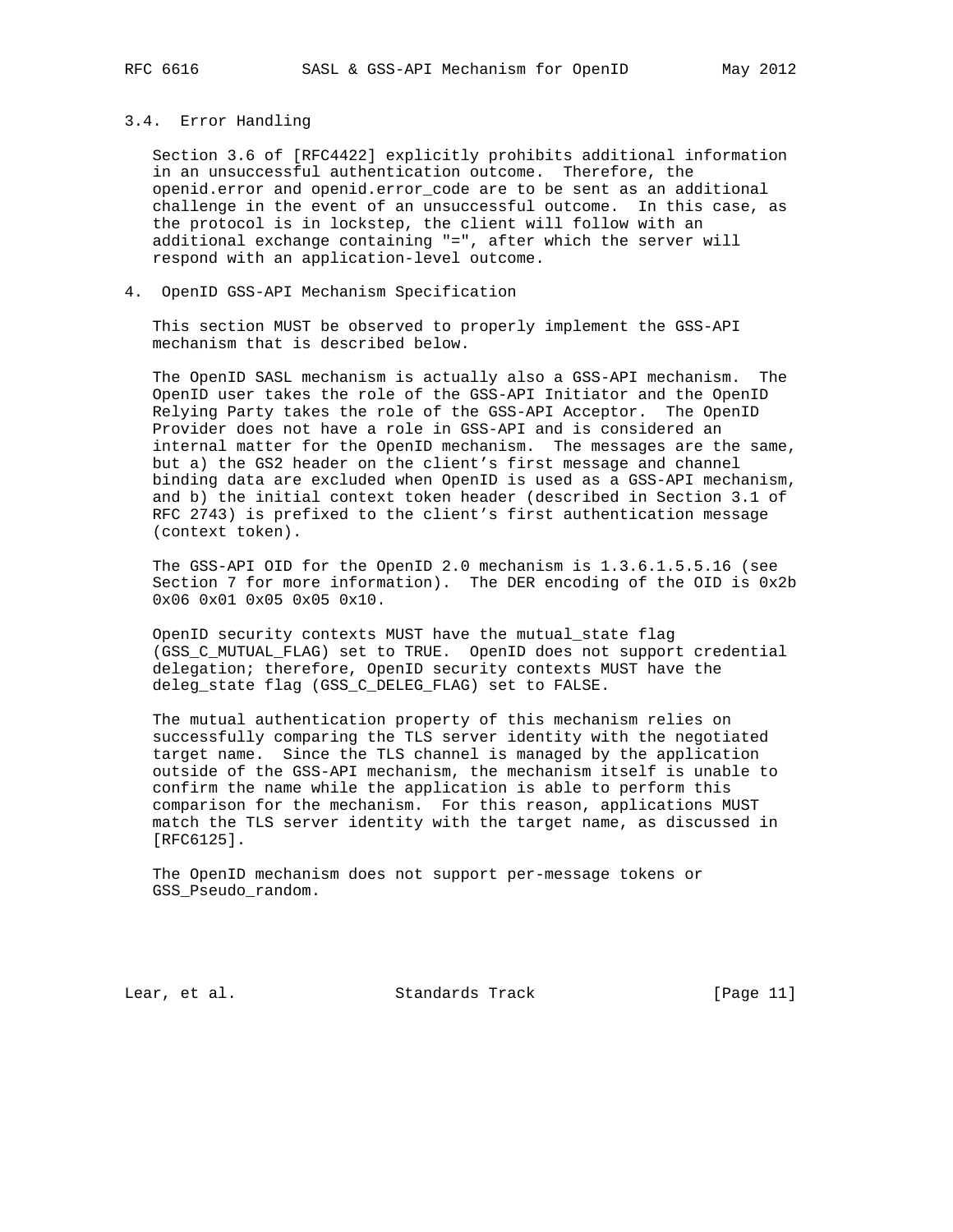#### 3.4. Error Handling

 Section 3.6 of [RFC4422] explicitly prohibits additional information in an unsuccessful authentication outcome. Therefore, the openid.error and openid.error\_code are to be sent as an additional challenge in the event of an unsuccessful outcome. In this case, as the protocol is in lockstep, the client will follow with an additional exchange containing "=", after which the server will respond with an application-level outcome.

4. OpenID GSS-API Mechanism Specification

 This section MUST be observed to properly implement the GSS-API mechanism that is described below.

 The OpenID SASL mechanism is actually also a GSS-API mechanism. The OpenID user takes the role of the GSS-API Initiator and the OpenID Relying Party takes the role of the GSS-API Acceptor. The OpenID Provider does not have a role in GSS-API and is considered an internal matter for the OpenID mechanism. The messages are the same, but a) the GS2 header on the client's first message and channel binding data are excluded when OpenID is used as a GSS-API mechanism, and b) the initial context token header (described in Section 3.1 of RFC 2743) is prefixed to the client's first authentication message (context token).

 The GSS-API OID for the OpenID 2.0 mechanism is 1.3.6.1.5.5.16 (see Section 7 for more information). The DER encoding of the OID is 0x2b 0x06 0x01 0x05 0x05 0x10.

 OpenID security contexts MUST have the mutual\_state flag (GSS\_C\_MUTUAL\_FLAG) set to TRUE. OpenID does not support credential delegation; therefore, OpenID security contexts MUST have the deleg\_state flag (GSS\_C\_DELEG\_FLAG) set to FALSE.

 The mutual authentication property of this mechanism relies on successfully comparing the TLS server identity with the negotiated target name. Since the TLS channel is managed by the application outside of the GSS-API mechanism, the mechanism itself is unable to confirm the name while the application is able to perform this comparison for the mechanism. For this reason, applications MUST match the TLS server identity with the target name, as discussed in [RFC6125].

 The OpenID mechanism does not support per-message tokens or GSS Pseudo random.

Lear, et al. Standards Track [Page 11]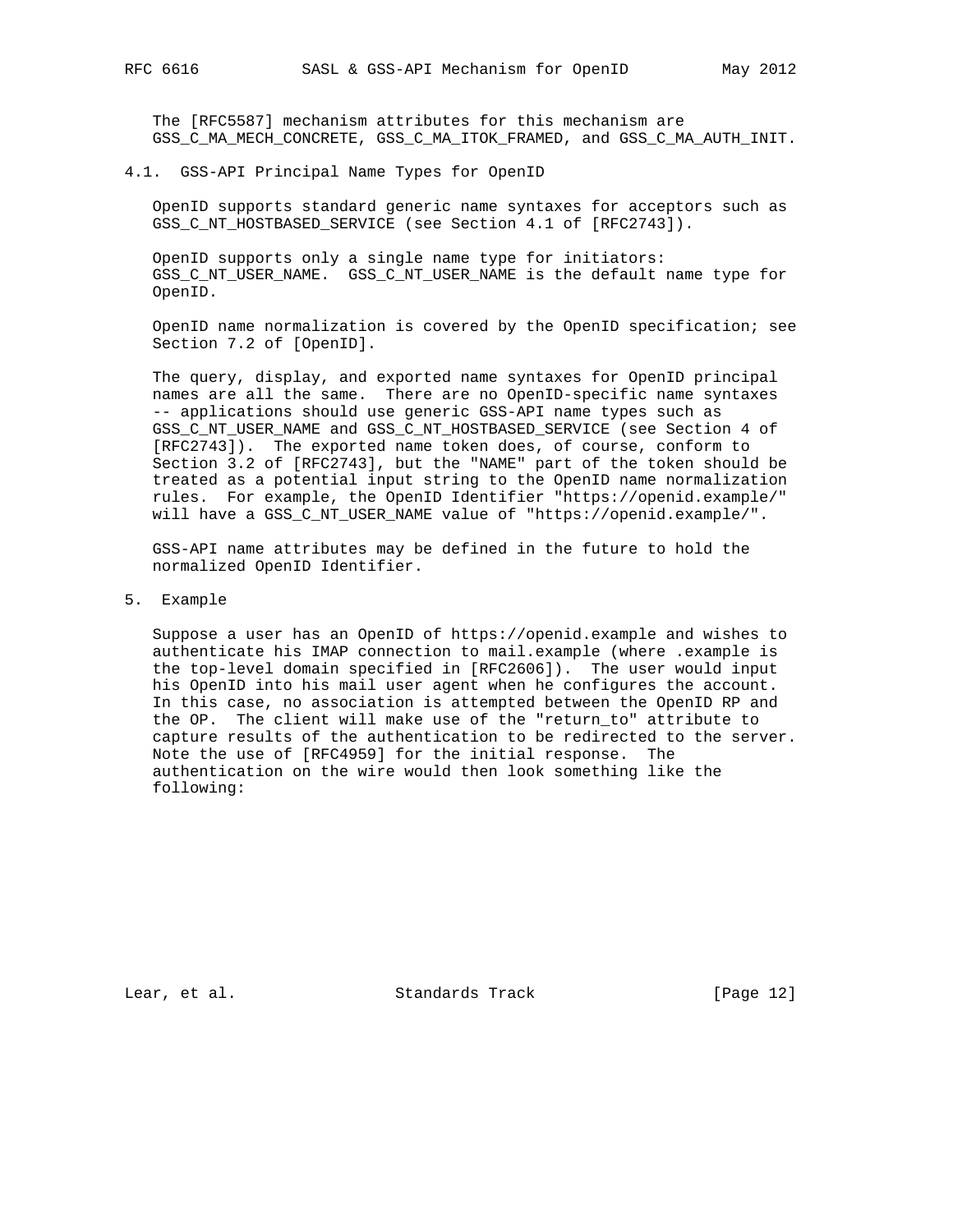The [RFC5587] mechanism attributes for this mechanism are GSS\_C\_MA\_MECH\_CONCRETE, GSS\_C\_MA\_ITOK\_FRAMED, and GSS\_C\_MA\_AUTH\_INIT.

4.1. GSS-API Principal Name Types for OpenID

 OpenID supports standard generic name syntaxes for acceptors such as GSS\_C\_NT\_HOSTBASED\_SERVICE (see Section 4.1 of [RFC2743]).

 OpenID supports only a single name type for initiators: GSS\_C\_NT\_USER\_NAME. GSS\_C\_NT\_USER\_NAME is the default name type for OpenID.

 OpenID name normalization is covered by the OpenID specification; see Section 7.2 of [OpenID].

 The query, display, and exported name syntaxes for OpenID principal names are all the same. There are no OpenID-specific name syntaxes -- applications should use generic GSS-API name types such as GSS\_C\_NT\_USER\_NAME and GSS\_C\_NT\_HOSTBASED\_SERVICE (see Section 4 of [RFC2743]). The exported name token does, of course, conform to Section 3.2 of [RFC2743], but the "NAME" part of the token should be treated as a potential input string to the OpenID name normalization rules. For example, the OpenID Identifier "https://openid.example/" will have a GSS\_C\_NT\_USER\_NAME value of "https://openid.example/".

 GSS-API name attributes may be defined in the future to hold the normalized OpenID Identifier.

5. Example

 Suppose a user has an OpenID of https://openid.example and wishes to authenticate his IMAP connection to mail.example (where .example is the top-level domain specified in [RFC2606]). The user would input his OpenID into his mail user agent when he configures the account. In this case, no association is attempted between the OpenID RP and the OP. The client will make use of the "return\_to" attribute to capture results of the authentication to be redirected to the server. Note the use of [RFC4959] for the initial response. The authentication on the wire would then look something like the following:

Lear, et al. Standards Track [Page 12]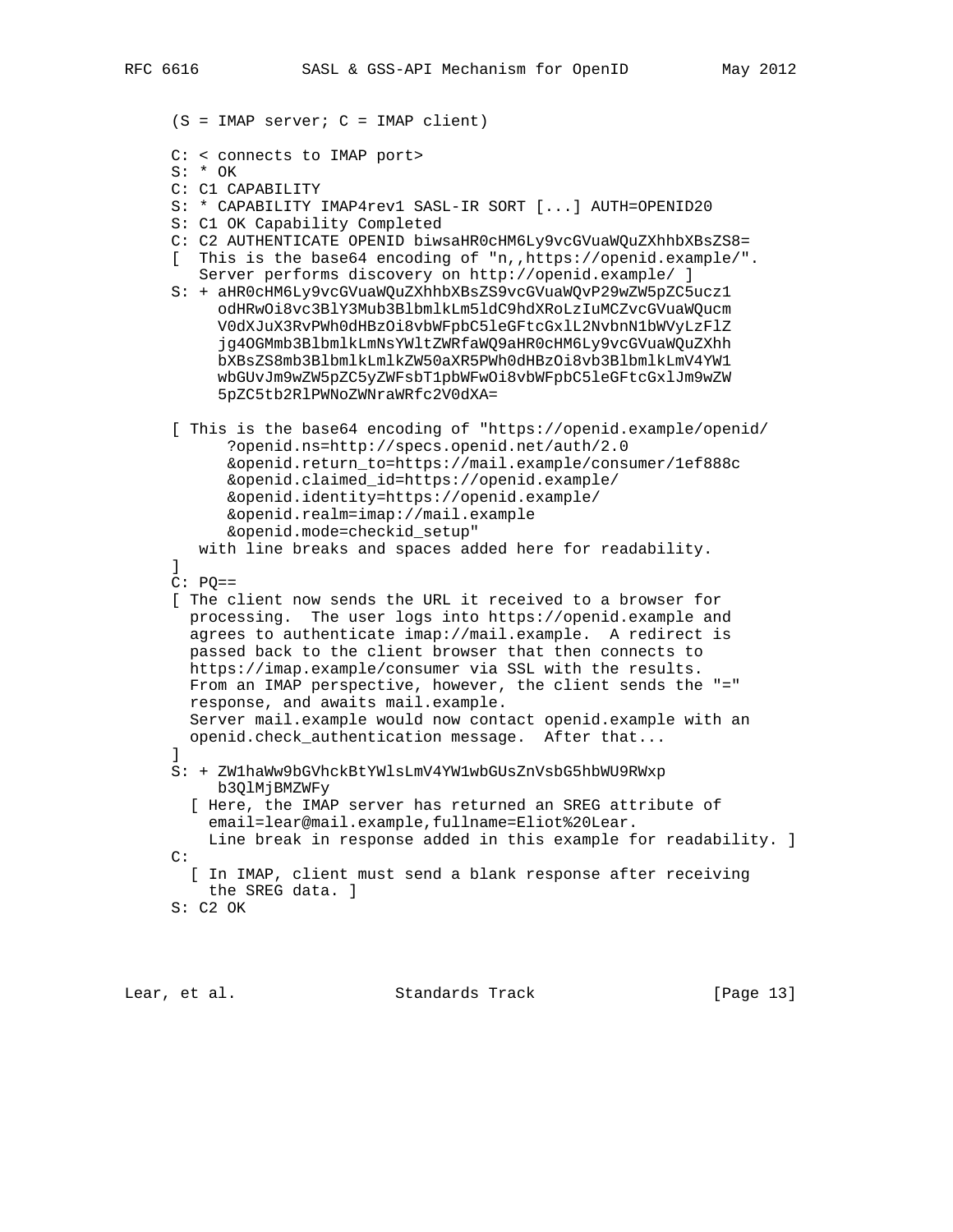```
 (S = IMAP server; C = IMAP client)
```
- C: < connects to IMAP port>
- S: \* OK
- C: C1 CAPABILITY
- S: \* CAPABILITY IMAP4rev1 SASL-IR SORT [...] AUTH=OPENID20
- S: C1 OK Capability Completed
- C: C2 AUTHENTICATE OPENID biwsaHR0cHM6Ly9vcGVuaWQuZXhhbXBsZS8=
- [ This is the base64 encoding of "n,,https://openid.example/". Server performs discovery on http://openid.example/ ]
- S: + aHR0cHM6Ly9vcGVuaWQuZXhhbXBsZS9vcGVuaWQvP29wZW5pZC5ucz1 odHRwOi8vc3BlY3Mub3BlbmlkLm5ldC9hdXRoLzIuMCZvcGVuaWQucm V0dXJuX3RvPWh0dHBzOi8vbWFpbC5leGFtcGxlL2NvbnN1bWVyLzFlZ jg4OGMmb3BlbmlkLmNsYWltZWRfaWQ9aHR0cHM6Ly9vcGVuaWQuZXhh bXBsZS8mb3BlbmlkLmlkZW50aXR5PWh0dHBzOi8vb3BlbmlkLmV4YW1 wbGUvJm9wZW5pZC5yZWFsbT1pbWFwOi8vbWFpbC5leGFtcGxlJm9wZW 5pZC5tb2RlPWNoZWNraWRfc2V0dXA=
- [ This is the base64 encoding of "https://openid.example/openid/ ?openid.ns=http://specs.openid.net/auth/2.0 &openid.return\_to=https://mail.example/consumer/1ef888c &openid.claimed\_id=https://openid.example/ &openid.identity=https://openid.example/ &openid.realm=imap://mail.example &openid.mode=checkid\_setup" with line breaks and spaces added here for readability.
- ]  $C: PO==$
- [ The client now sends the URL it received to a browser for processing. The user logs into https://openid.example and agrees to authenticate imap://mail.example. A redirect is passed back to the client browser that then connects to https://imap.example/consumer via SSL with the results. From an IMAP perspective, however, the client sends the "=" response, and awaits mail.example. Server mail.example would now contact openid.example with an openid.check\_authentication message. After that...
- ] S: + ZW1haWw9bGVhckBtYWlsLmV4YW1wbGUsZnVsbG5hbWU9RWxp b3QlMjBMZWFy
- [ Here, the IMAP server has returned an SREG attribute of email=lear@mail.example,fullname=Eliot%20Lear. Line break in response added in this example for readability. ] C:
	- [ In IMAP, client must send a blank response after receiving the SREG data. ]
- S: C2 OK

Lear, et al. Standards Track [Page 13]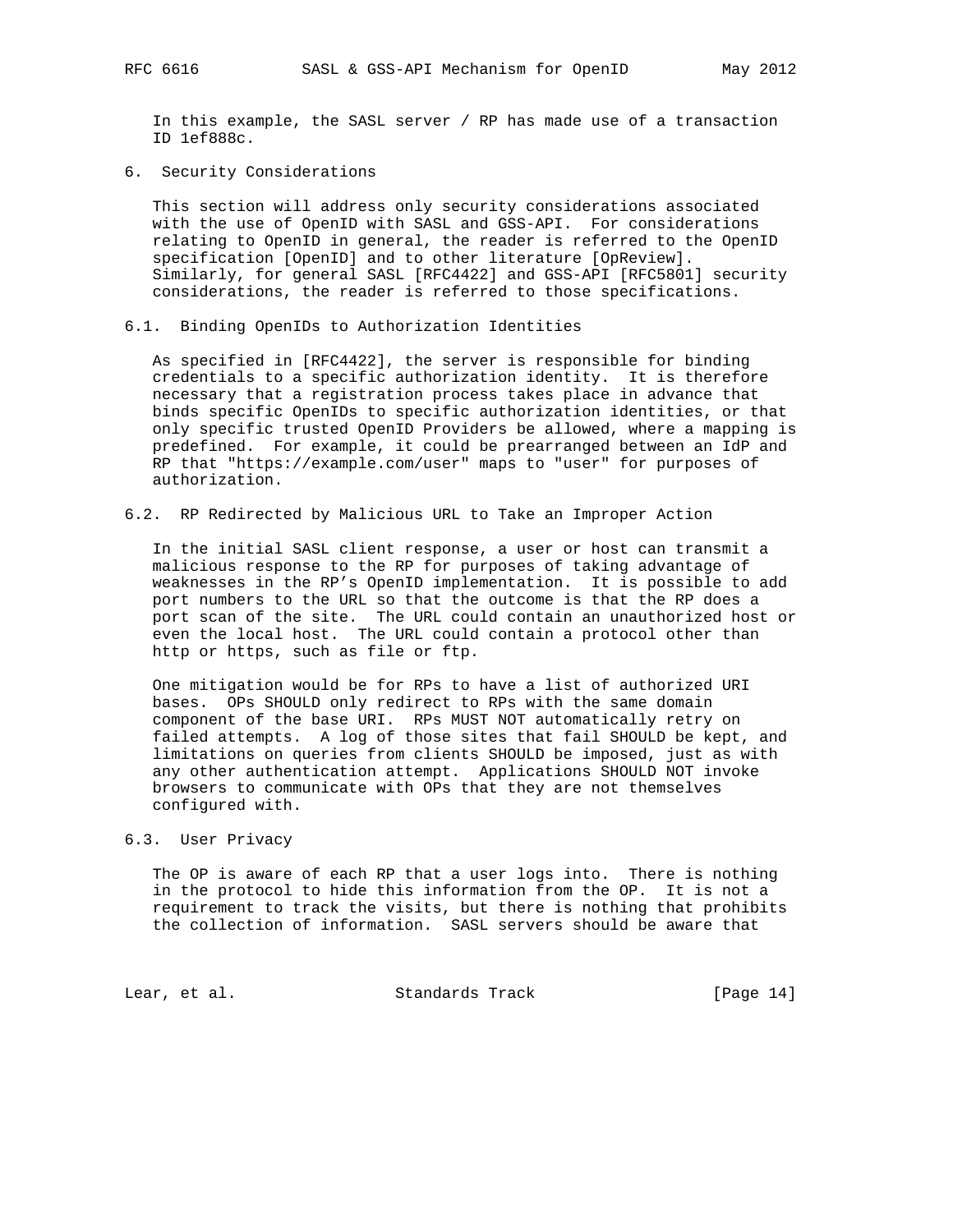In this example, the SASL server / RP has made use of a transaction ID 1ef888c.

6. Security Considerations

 This section will address only security considerations associated with the use of OpenID with SASL and GSS-API. For considerations relating to OpenID in general, the reader is referred to the OpenID specification [OpenID] and to other literature [OpReview]. Similarly, for general SASL [RFC4422] and GSS-API [RFC5801] security considerations, the reader is referred to those specifications.

6.1. Binding OpenIDs to Authorization Identities

 As specified in [RFC4422], the server is responsible for binding credentials to a specific authorization identity. It is therefore necessary that a registration process takes place in advance that binds specific OpenIDs to specific authorization identities, or that only specific trusted OpenID Providers be allowed, where a mapping is predefined. For example, it could be prearranged between an IdP and RP that "https://example.com/user" maps to "user" for purposes of authorization.

6.2. RP Redirected by Malicious URL to Take an Improper Action

 In the initial SASL client response, a user or host can transmit a malicious response to the RP for purposes of taking advantage of weaknesses in the RP's OpenID implementation. It is possible to add port numbers to the URL so that the outcome is that the RP does a port scan of the site. The URL could contain an unauthorized host or even the local host. The URL could contain a protocol other than http or https, such as file or ftp.

 One mitigation would be for RPs to have a list of authorized URI bases. OPs SHOULD only redirect to RPs with the same domain component of the base URI. RPs MUST NOT automatically retry on failed attempts. A log of those sites that fail SHOULD be kept, and limitations on queries from clients SHOULD be imposed, just as with any other authentication attempt. Applications SHOULD NOT invoke browsers to communicate with OPs that they are not themselves configured with.

## 6.3. User Privacy

 The OP is aware of each RP that a user logs into. There is nothing in the protocol to hide this information from the OP. It is not a requirement to track the visits, but there is nothing that prohibits the collection of information. SASL servers should be aware that

Lear, et al. Standards Track [Page 14]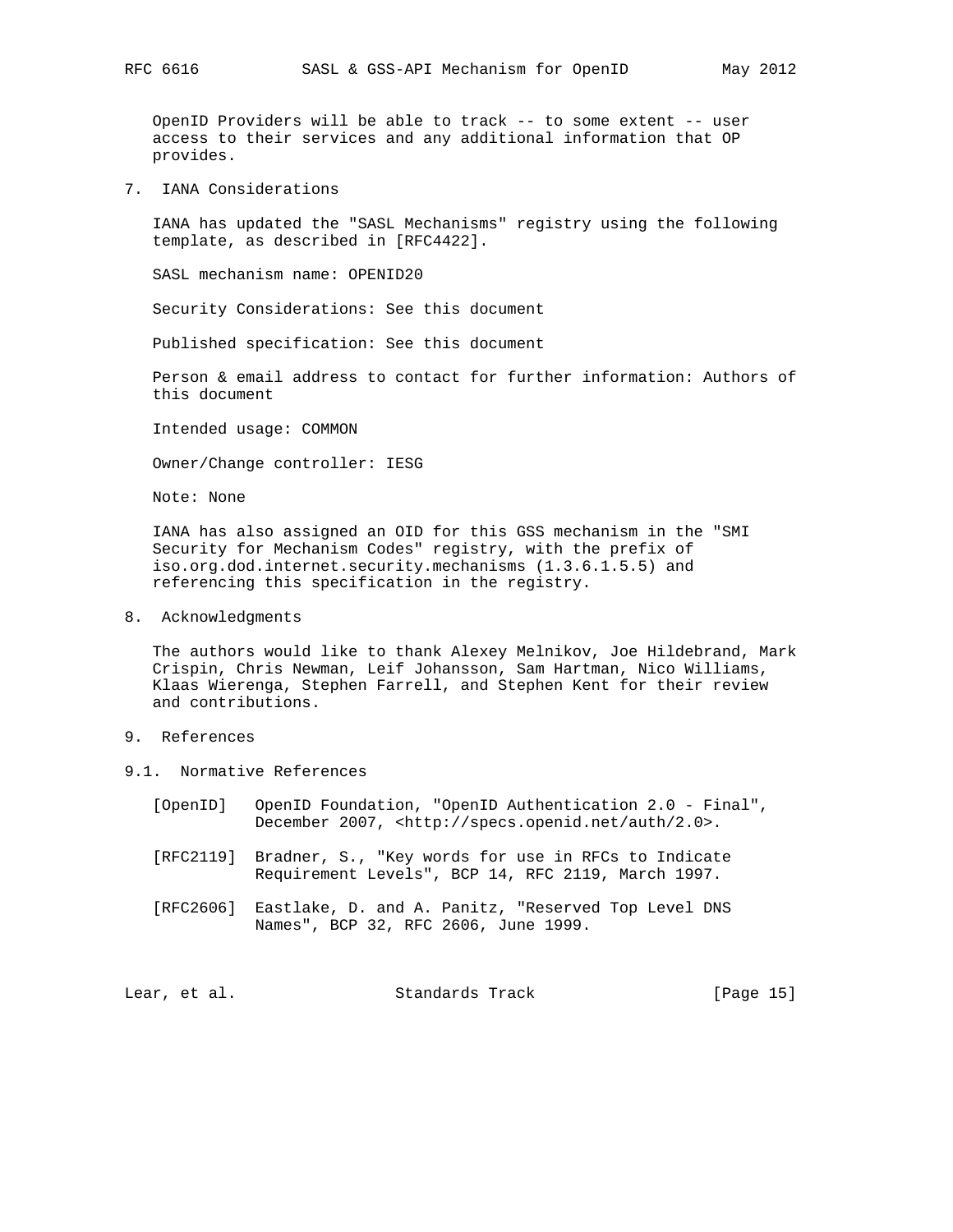OpenID Providers will be able to track -- to some extent -- user access to their services and any additional information that OP provides.

7. IANA Considerations

 IANA has updated the "SASL Mechanisms" registry using the following template, as described in [RFC4422].

SASL mechanism name: OPENID20

Security Considerations: See this document

Published specification: See this document

 Person & email address to contact for further information: Authors of this document

Intended usage: COMMON

Owner/Change controller: IESG

Note: None

 IANA has also assigned an OID for this GSS mechanism in the "SMI Security for Mechanism Codes" registry, with the prefix of iso.org.dod.internet.security.mechanisms (1.3.6.1.5.5) and referencing this specification in the registry.

8. Acknowledgments

 The authors would like to thank Alexey Melnikov, Joe Hildebrand, Mark Crispin, Chris Newman, Leif Johansson, Sam Hartman, Nico Williams, Klaas Wierenga, Stephen Farrell, and Stephen Kent for their review and contributions.

- 9. References
- 9.1. Normative References
	- [OpenID] OpenID Foundation, "OpenID Authentication 2.0 Final", December 2007, <http://specs.openid.net/auth/2.0>.
	- [RFC2119] Bradner, S., "Key words for use in RFCs to Indicate Requirement Levels", BCP 14, RFC 2119, March 1997.
	- [RFC2606] Eastlake, D. and A. Panitz, "Reserved Top Level DNS Names", BCP 32, RFC 2606, June 1999.

Lear, et al. Standards Track [Page 15]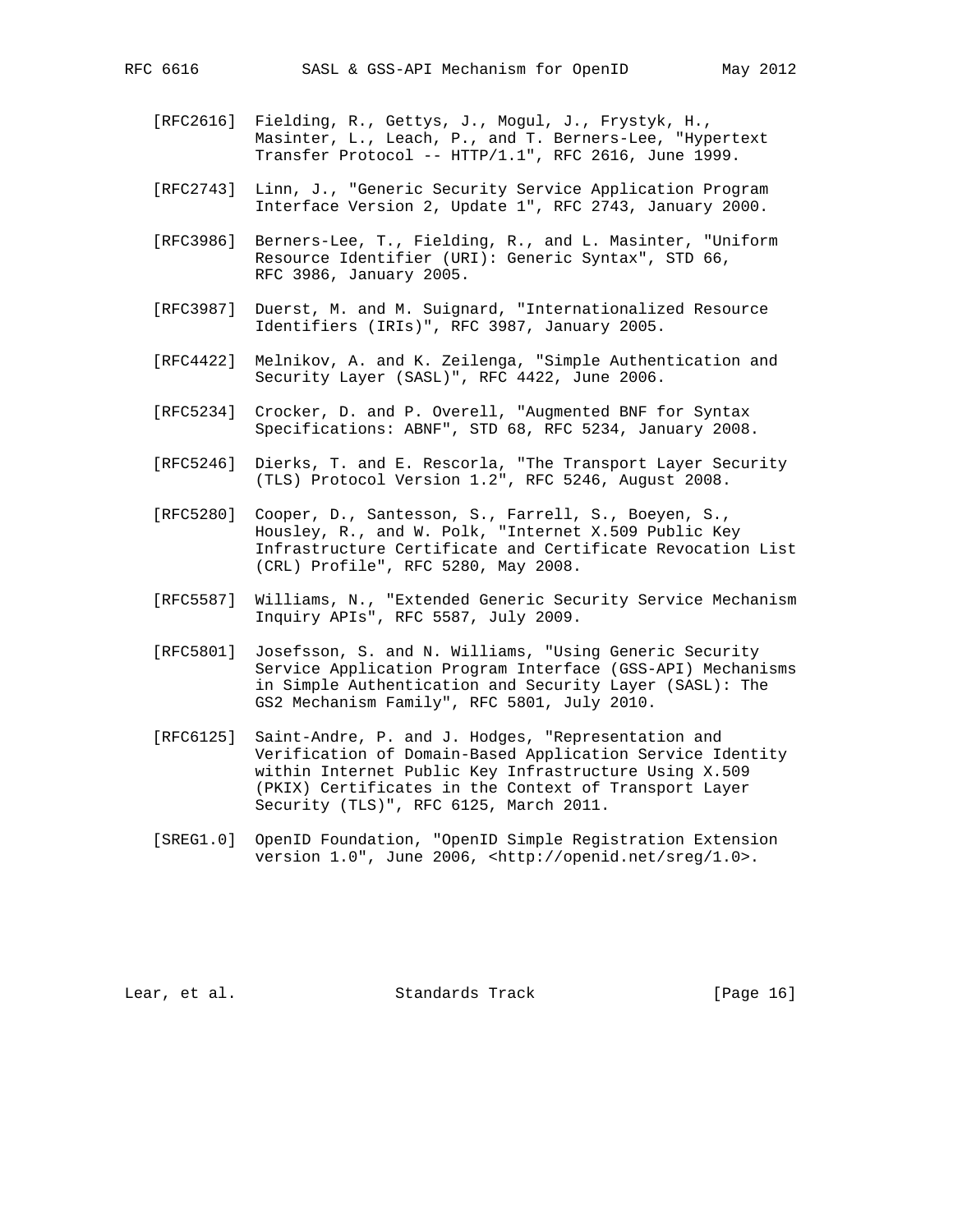- [RFC2616] Fielding, R., Gettys, J., Mogul, J., Frystyk, H., Masinter, L., Leach, P., and T. Berners-Lee, "Hypertext Transfer Protocol -- HTTP/1.1", RFC 2616, June 1999.
- [RFC2743] Linn, J., "Generic Security Service Application Program Interface Version 2, Update 1", RFC 2743, January 2000.
- [RFC3986] Berners-Lee, T., Fielding, R., and L. Masinter, "Uniform Resource Identifier (URI): Generic Syntax", STD 66, RFC 3986, January 2005.
- [RFC3987] Duerst, M. and M. Suignard, "Internationalized Resource Identifiers (IRIs)", RFC 3987, January 2005.
- [RFC4422] Melnikov, A. and K. Zeilenga, "Simple Authentication and Security Layer (SASL)", RFC 4422, June 2006.
- [RFC5234] Crocker, D. and P. Overell, "Augmented BNF for Syntax Specifications: ABNF", STD 68, RFC 5234, January 2008.
- [RFC5246] Dierks, T. and E. Rescorla, "The Transport Layer Security (TLS) Protocol Version 1.2", RFC 5246, August 2008.
- [RFC5280] Cooper, D., Santesson, S., Farrell, S., Boeyen, S., Housley, R., and W. Polk, "Internet X.509 Public Key Infrastructure Certificate and Certificate Revocation List (CRL) Profile", RFC 5280, May 2008.
- [RFC5587] Williams, N., "Extended Generic Security Service Mechanism Inquiry APIs", RFC 5587, July 2009.
- [RFC5801] Josefsson, S. and N. Williams, "Using Generic Security Service Application Program Interface (GSS-API) Mechanisms in Simple Authentication and Security Layer (SASL): The GS2 Mechanism Family", RFC 5801, July 2010.
- [RFC6125] Saint-Andre, P. and J. Hodges, "Representation and Verification of Domain-Based Application Service Identity within Internet Public Key Infrastructure Using X.509 (PKIX) Certificates in the Context of Transport Layer Security (TLS)", RFC 6125, March 2011.
- [SREG1.0] OpenID Foundation, "OpenID Simple Registration Extension version 1.0", June 2006, <http://openid.net/sreg/1.0>.

Lear, et al. Standards Track [Page 16]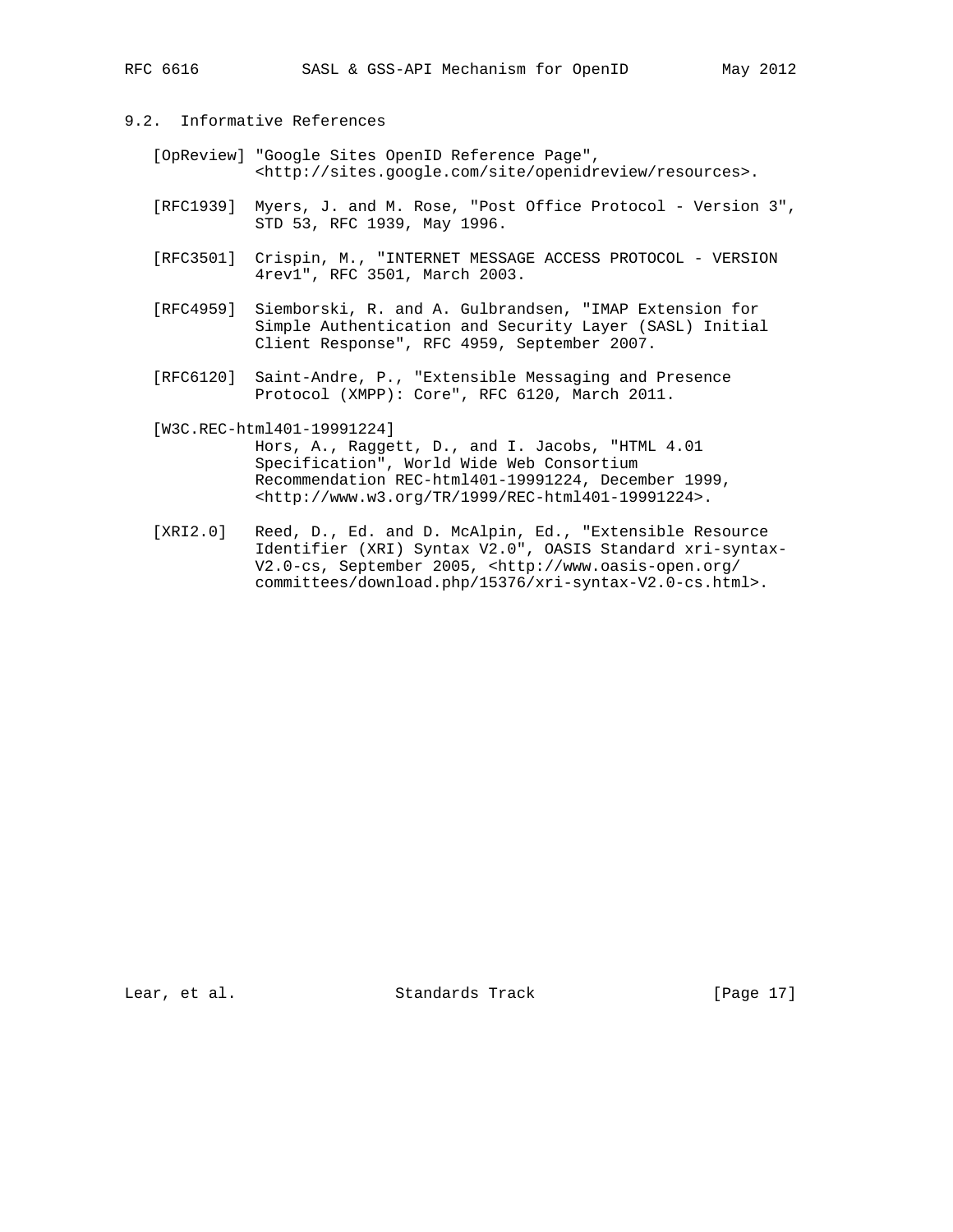- 9.2. Informative References
	- [OpReview] "Google Sites OpenID Reference Page", <http://sites.google.com/site/openidreview/resources>.
	- [RFC1939] Myers, J. and M. Rose, "Post Office Protocol Version 3", STD 53, RFC 1939, May 1996.
	- [RFC3501] Crispin, M., "INTERNET MESSAGE ACCESS PROTOCOL VERSION 4rev1", RFC 3501, March 2003.
	- [RFC4959] Siemborski, R. and A. Gulbrandsen, "IMAP Extension for Simple Authentication and Security Layer (SASL) Initial Client Response", RFC 4959, September 2007.
	- [RFC6120] Saint-Andre, P., "Extensible Messaging and Presence Protocol (XMPP): Core", RFC 6120, March 2011.
	- [W3C.REC-html401-19991224]

 Hors, A., Raggett, D., and I. Jacobs, "HTML 4.01 Specification", World Wide Web Consortium Recommendation REC-html401-19991224, December 1999, <http://www.w3.org/TR/1999/REC-html401-19991224>.

 [XRI2.0] Reed, D., Ed. and D. McAlpin, Ed., "Extensible Resource Identifier (XRI) Syntax V2.0", OASIS Standard xri-syntax- V2.0-cs, September 2005, <http://www.oasis-open.org/ committees/download.php/15376/xri-syntax-V2.0-cs.html>.

Lear, et al. Standards Track [Page 17]